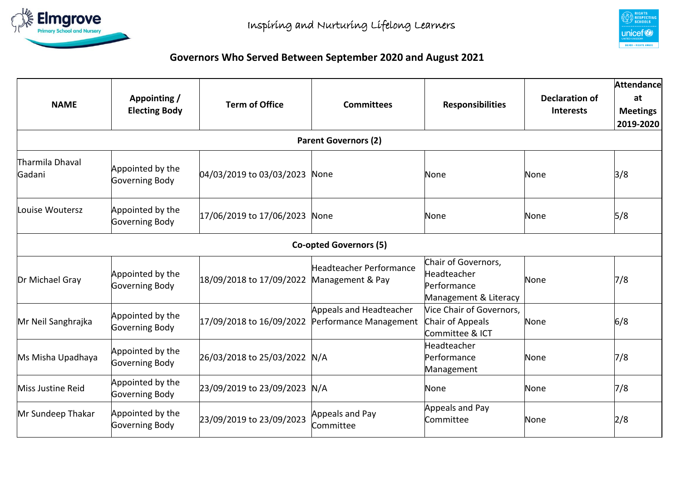



## **Governors Who Served Between September 2020 and August 2021**

| <b>NAME</b>                 | Appointing /<br><b>Electing Body</b> | <b>Term of Office</b>    | <b>Committees</b>                                  | <b>Responsibilities</b>                                                    | <b>Declaration of</b><br><b>Interests</b> | <b>Attendance</b><br>at<br><b>Meetings</b><br>2019-2020 |  |  |  |  |  |
|-----------------------------|--------------------------------------|--------------------------|----------------------------------------------------|----------------------------------------------------------------------------|-------------------------------------------|---------------------------------------------------------|--|--|--|--|--|
| <b>Parent Governors (2)</b> |                                      |                          |                                                    |                                                                            |                                           |                                                         |  |  |  |  |  |
| Tharmila Dhaval<br>Gadani   | Appointed by the<br>Governing Body   | 04/03/2019 to 03/03/2023 | None                                               | None                                                                       | None                                      | 3/8                                                     |  |  |  |  |  |
| Louise Woutersz             | Appointed by the<br>Governing Body   | 17/06/2019 to 17/06/2023 | None                                               | None                                                                       | None                                      | 5/8                                                     |  |  |  |  |  |
|                             |                                      |                          | <b>Co-opted Governors (5)</b>                      |                                                                            |                                           |                                                         |  |  |  |  |  |
| Dr Michael Gray             | Appointed by the<br>Governing Body   | 18/09/2018 to 17/09/2022 | <b>Headteacher Performance</b><br>Management & Pay | Chair of Governors,<br>Headteacher<br>Performance<br>Management & Literacy | None                                      | 7/8                                                     |  |  |  |  |  |
| Mr Neil Sanghrajka          | Appointed by the<br>Governing Body   | 17/09/2018 to 16/09/2022 | Appeals and Headteacher<br>Performance Management  | Vice Chair of Governors,<br>Chair of Appeals<br>Committee & ICT            | None                                      | 6/8                                                     |  |  |  |  |  |
| Ms Misha Upadhaya           | Appointed by the<br>Governing Body   | 26/03/2018 to 25/03/2022 | N/A                                                | Headteacher<br>Performance<br>Management                                   | None                                      | 7/8                                                     |  |  |  |  |  |
| Miss Justine Reid           | Appointed by the<br>Governing Body   | 23/09/2019 to 23/09/2023 | N/A                                                | None                                                                       | None                                      | 7/8                                                     |  |  |  |  |  |
| Mr Sundeep Thakar           | Appointed by the<br>Governing Body   | 23/09/2019 to 23/09/2023 | Appeals and Pay<br>Committee                       | Appeals and Pay<br>Committee                                               | None                                      | 2/8                                                     |  |  |  |  |  |